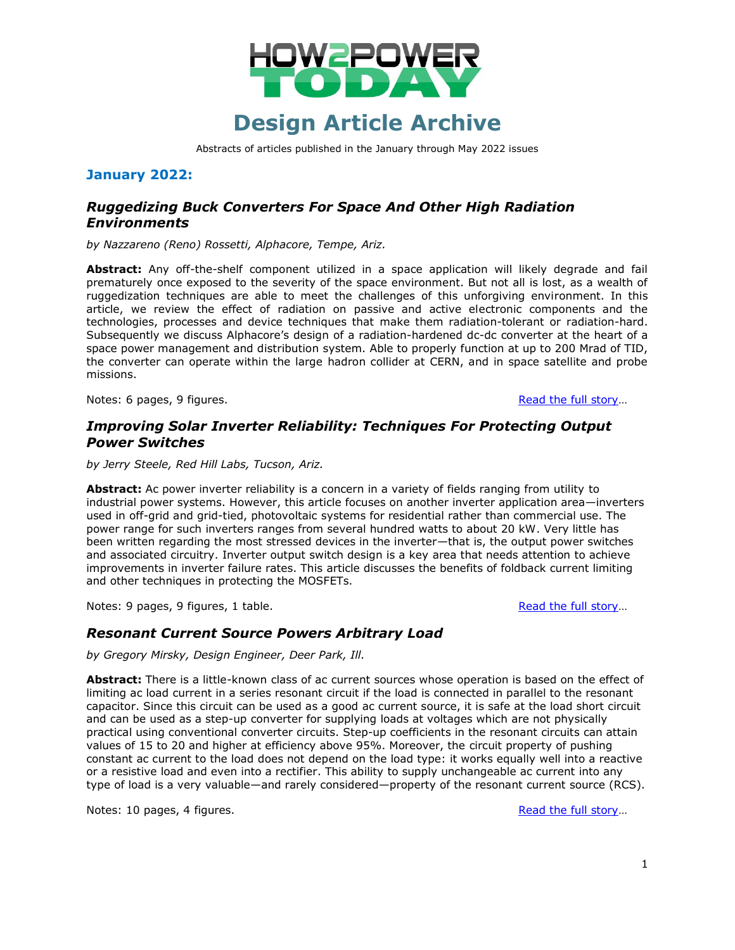

Abstracts of articles published in the January through May 2022 issues

#### **January 2022:**

## *Ruggedizing Buck Converters For Space And Other High Radiation Environments*

*by Nazzareno (Reno) Rossetti, Alphacore, Tempe, Ariz.*

**Abstract:** Any off-the-shelf component utilized in a space application will likely degrade and fail prematurely once exposed to the severity of the space environment. But not all is lost, as a wealth of ruggedization techniques are able to meet the challenges of this unforgiving environment. In this article, we review the effect of radiation on passive and active electronic components and the technologies, processes and device techniques that make them radiation-tolerant or radiation-hard. Subsequently we discuss Alphacore's design of a radiation-hardened dc-dc converter at the heart of a space power management and distribution system. Able to properly function at up to 200 Mrad of TID, the converter can operate within the large hadron collider at CERN, and in space satellite and probe missions.

Notes: 6 pages, 9 figures. [Read the full story](http://www.how2power.com/pdf_view.php?url=/newsletters/2201/articles/H2PToday2201_design_Alphacore.pdf)...

#### *Improving Solar Inverter Reliability: Techniques For Protecting Output Power Switches*

*by Jerry Steele, Red Hill Labs, Tucson, Ariz.*

**Abstract:** Ac power inverter reliability is a concern in a variety of fields ranging from utility to industrial power systems. However, this article focuses on another inverter application area—inverters used in off-grid and grid-tied, photovoltaic systems for residential rather than commercial use. The power range for such inverters ranges from several hundred watts to about 20 kW. Very little has been written regarding the most stressed devices in the inverter—that is, the output power switches and associated circuitry. Inverter output switch design is a key area that needs attention to achieve improvements in inverter failure rates. This article discusses the benefits of foldback current limiting and other techniques in protecting the MOSFETs.

Notes: 9 pages, 9 figures, 1 table. [Read the full story](http://www.how2power.com/pdf_view.php?url=/newsletters/2101/articles/H2PToday2101_design_RedHillLabs.pdf)...

#### *Resonant Current Source Powers Arbitrary Load*

*by Gregory Mirsky, Design Engineer, Deer Park, Ill.*

**Abstract:** There is a little-known class of ac current sources whose operation is based on the effect of limiting ac load current in a series resonant circuit if the load is connected in parallel to the resonant capacitor. Since this circuit can be used as a good ac current source, it is safe at the load short circuit and can be used as a step-up converter for supplying loads at voltages which are not physically practical using conventional converter circuits. Step-up coefficients in the resonant circuits can attain values of 15 to 20 and higher at efficiency above 95%. Moreover, the circuit property of pushing constant ac current to the load does not depend on the load type: it works equally well into a reactive or a resistive load and even into a rectifier. This ability to supply unchangeable ac current into any type of load is a very valuable—and rarely considered—property of the resonant current source (RCS).

Notes: 10 pages, 4 figures. [Read the full story](http://www.how2power.com/pdf_view.php?url=/newsletters/2201/articles/H2PToday2201_design_Mirsky.pdf)...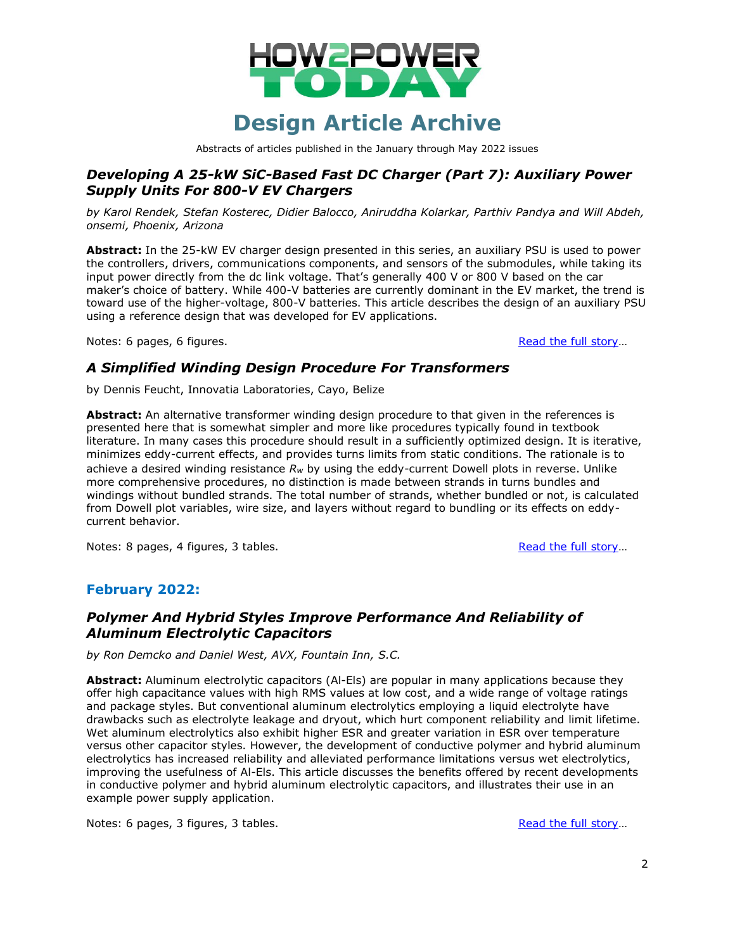

Abstracts of articles published in the January through May 2022 issues

### *Developing A 25-kW SiC-Based Fast DC Charger (Part 7): Auxiliary Power Supply Units For 800-V EV Chargers*

*by Karol Rendek, Stefan Kosterec, Didier Balocco, Aniruddha Kolarkar, Parthiv Pandya and Will Abdeh, onsemi, Phoenix, Arizona*

**Abstract:** In the 25-kW EV charger design presented in this series, an auxiliary PSU is used to power the controllers, drivers, communications components, and sensors of the submodules, while taking its input power directly from the dc link voltage. That's generally 400 V or 800 V based on the car maker's choice of battery. While 400-V batteries are currently dominant in the EV market, the trend is toward use of the higher-voltage, 800-V batteries. This article describes the design of an auxiliary PSU using a reference design that was developed for EV applications.

Notes: 6 pages, 6 figures. [Read the full story](http://www.how2power.com/pdf_view.php?url=/newsletters/2201/articles/H2PToday2201_design_onsemi.pdf)...

### *A Simplified Winding Design Procedure For Transformers*

by Dennis Feucht, Innovatia Laboratories, Cayo, Belize

**Abstract:** An alternative transformer winding design procedure to that given in the references is presented here that is somewhat simpler and more like procedures typically found in textbook literature. In many cases this procedure should result in a sufficiently optimized design. It is iterative, minimizes eddy-current effects, and provides turns limits from static conditions. The rationale is to achieve a desired winding resistance *Rw* by using the eddy-current Dowell plots in reverse. Unlike more comprehensive procedures, no distinction is made between strands in turns bundles and windings without bundled strands. The total number of strands, whether bundled or not, is calculated from Dowell plot variables, wire size, and layers without regard to bundling or its effects on eddycurrent behavior.

Notes: 8 pages, 4 figures, 3 tables. [Read the full story](http://www.how2power.com/pdf_view.php?url=/newsletters/2201/H2PowerToday2201_FocusOnMagnetics.pdf)...

### **February 2022:**

## *Polymer And Hybrid Styles Improve Performance And Reliability of Aluminum Electrolytic Capacitors*

*by Ron Demcko and Daniel West, AVX, Fountain Inn, S.C.* 

**Abstract:** Aluminum electrolytic capacitors (Al-Els) are popular in many applications because they offer high capacitance values with high RMS values at low cost, and a wide range of voltage ratings and package styles. But conventional aluminum electrolytics employing a liquid electrolyte have drawbacks such as electrolyte leakage and dryout, which hurt component reliability and limit lifetime. Wet aluminum electrolytics also exhibit higher ESR and greater variation in ESR over temperature versus other capacitor styles. However, the development of conductive polymer and hybrid aluminum electrolytics has increased reliability and alleviated performance limitations versus wet electrolytics, improving the usefulness of Al-Els. This article discusses the benefits offered by recent developments in conductive polymer and hybrid aluminum electrolytic capacitors, and illustrates their use in an example power supply application.

Notes: 6 pages, 3 figures, 3 tables. [Read the full story](http://www.how2power.com/pdf_view.php?url=/newsletters/2202/articles/H2PToday2202_design_AVX.pdf)...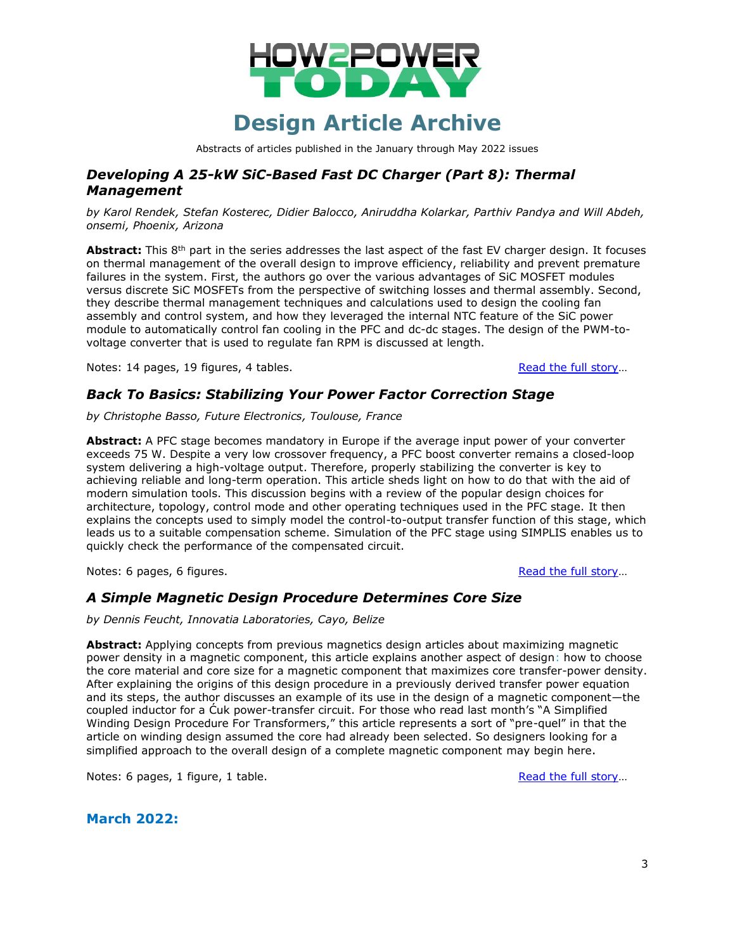

Abstracts of articles published in the January through May 2022 issues

### *Developing A 25-kW SiC-Based Fast DC Charger (Part 8): Thermal Management*

*by Karol Rendek, Stefan Kosterec, Didier Balocco, Aniruddha Kolarkar, Parthiv Pandya and Will Abdeh, onsemi, Phoenix, Arizona*

Abstract: This 8<sup>th</sup> part in the series addresses the last aspect of the fast EV charger design. It focuses on thermal management of the overall design to improve efficiency, reliability and prevent premature failures in the system. First, the authors go over the various advantages of SiC MOSFET modules versus discrete SiC MOSFETs from the perspective of switching losses and thermal assembly. Second, they describe thermal management techniques and calculations used to design the cooling fan assembly and control system, and how they leveraged the internal NTC feature of the SiC power module to automatically control fan cooling in the PFC and dc-dc stages. The design of the PWM-tovoltage converter that is used to regulate fan RPM is discussed at length.

Notes: 14 pages, 19 figures, 4 tables. [Read the full story](http://www.how2power.com/pdf_view.php?url=/newsletters/2202/articles/H2PToday2202_design_onsemi.pdf)...

#### *Back To Basics: Stabilizing Your Power Factor Correction Stage*

*by Christophe Basso, Future Electronics, Toulouse, France*

**Abstract:** A PFC stage becomes mandatory in Europe if the average input power of your converter exceeds 75 W. Despite a very low crossover frequency, a PFC boost converter remains a closed-loop system delivering a high-voltage output. Therefore, properly stabilizing the converter is key to achieving reliable and long-term operation. This article sheds light on how to do that with the aid of modern simulation tools. This discussion begins with a review of the popular design choices for architecture, topology, control mode and other operating techniques used in the PFC stage. It then explains the concepts used to simply model the control-to-output transfer function of this stage, which leads us to a suitable compensation scheme. Simulation of the PFC stage using SIMPLIS enables us to quickly check the performance of the compensated circuit.

Notes: 6 pages, 6 figures. [Read the full story](http://www.how2power.com/pdf_view.php?url=/newsletters/2202/articles/H2PToday2202_design_FutureElectronics.pdf)...

#### *A Simple Magnetic Design Procedure Determines Core Size*

*by Dennis Feucht, Innovatia Laboratories, Cayo, Belize*

**Abstract:** Applying concepts from previous magnetics design articles about maximizing magnetic power density in a magnetic component, this article explains another aspect of design: how to choose the core material and core size for a magnetic component that maximizes core transfer-power density. After explaining the origins of this design procedure in a previously derived transfer power equation and its steps, the author discusses an example of its use in the design of a magnetic component—the coupled inductor for a Ćuk power-transfer circuit. For those who read last month's "A Simplified Winding Design Procedure For Transformers," this article represents a sort of "pre-quel" in that the article on winding design assumed the core had already been selected. So designers looking for a simplified approach to the overall design of a complete magnetic component may begin here.

Notes: 6 pages, 1 figure, 1 table. [Read the full story](http://www.how2power.com/pdf_view.php?url=/newsletters/2202/H2PowerToday2202_FocusOnMagnetics.pdf)...

**March 2022:**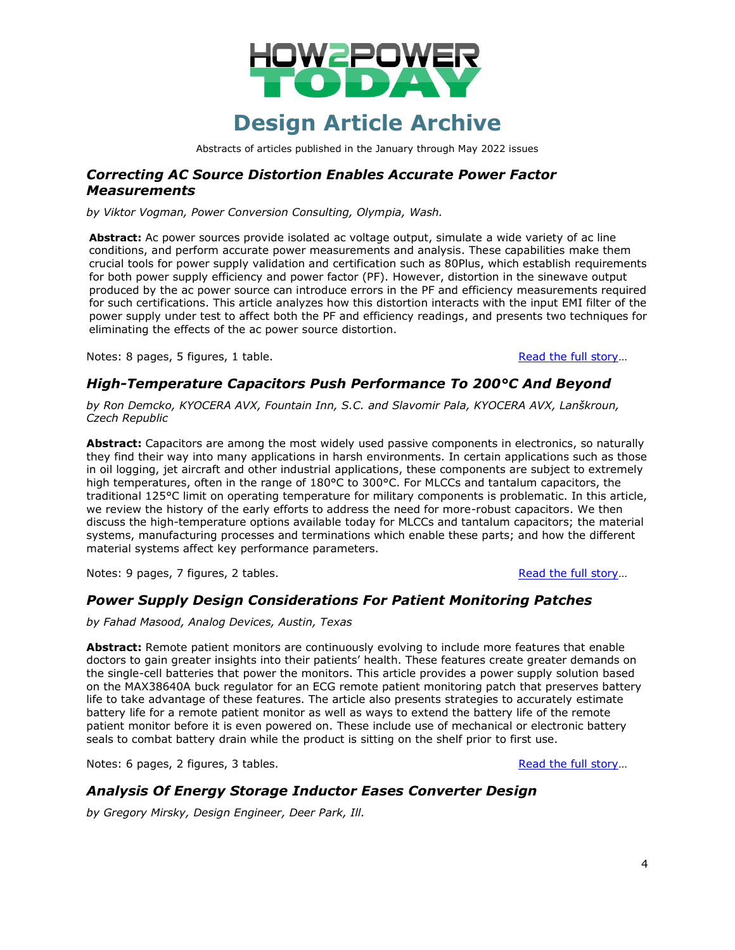

Abstracts of articles published in the January through May 2022 issues

#### *Correcting AC Source Distortion Enables Accurate Power Factor Measurements*

*by Viktor Vogman, Power Conversion Consulting, Olympia, Wash.*

**Abstract:** Ac power sources provide isolated ac voltage output, simulate a wide variety of ac line conditions, and perform accurate power measurements and analysis. These capabilities make them crucial tools for power supply validation and certification such as 80Plus, which establish requirements for both power supply efficiency and power factor (PF). However, distortion in the sinewave output produced by the ac power source can introduce errors in the PF and efficiency measurements required for such certifications. This article analyzes how this distortion interacts with the input EMI filter of the power supply under test to affect both the PF and efficiency readings, and presents two techniques for eliminating the effects of the ac power source distortion.

Notes: 8 pages, 5 figures, 1 table. [Read the full story](http://www.how2power.com/pdf_view.php?url=/newsletters/2203/articles/H2PToday2203_design_Vogman.pdf)...

#### *High-Temperature Capacitors Push Performance To 200°C And Beyond*

*by Ron Demcko, KYOCERA AVX, Fountain Inn, S.C. and Slavomir Pala, KYOCERA AVX, Lanškroun, Czech Republic*

**Abstract:** Capacitors are among the most widely used passive components in electronics, so naturally they find their way into many applications in harsh environments. In certain applications such as those in oil logging, jet aircraft and other industrial applications, these components are subject to extremely high temperatures, often in the range of 180°C to 300°C. For MLCCs and tantalum capacitors, the traditional 125°C limit on operating temperature for military components is problematic. In this article, we review the history of the early efforts to address the need for more-robust capacitors. We then discuss the high-temperature options available today for MLCCs and tantalum capacitors; the material systems, manufacturing processes and terminations which enable these parts; and how the different material systems affect key performance parameters.

Notes: 9 pages, 7 figures, 2 tables. [Read the full story](http://www.how2power.com/pdf_view.php?url=/newsletters/2203/articles/H2PToday2203_design_KYOCERA-AVX.pdf)...

### *Power Supply Design Considerations For Patient Monitoring Patches*

*by Fahad Masood, Analog Devices, Austin, Texas*

**Abstract:** Remote patient monitors are continuously evolving to include more features that enable doctors to gain greater insights into their patients' health. These features create greater demands on the single-cell batteries that power the monitors. This article provides a power supply solution based on the MAX38640A buck regulator for an ECG remote patient monitoring patch that preserves battery life to take advantage of these features. The article also presents strategies to accurately estimate battery life for a remote patient monitor as well as ways to extend the battery life of the remote patient monitor before it is even powered on. These include use of mechanical or electronic battery seals to combat battery drain while the product is sitting on the shelf prior to first use.

Notes: 6 pages, 2 figures, 3 tables. [Read the full story](http://www.how2power.com/pdf_view.php?url=/newsletters/2203/articles/H2PToday2203_design_AnalogDevices.pdf)...

#### *Analysis Of Energy Storage Inductor Eases Converter Design*

*by Gregory Mirsky, Design Engineer, Deer Park, Ill.*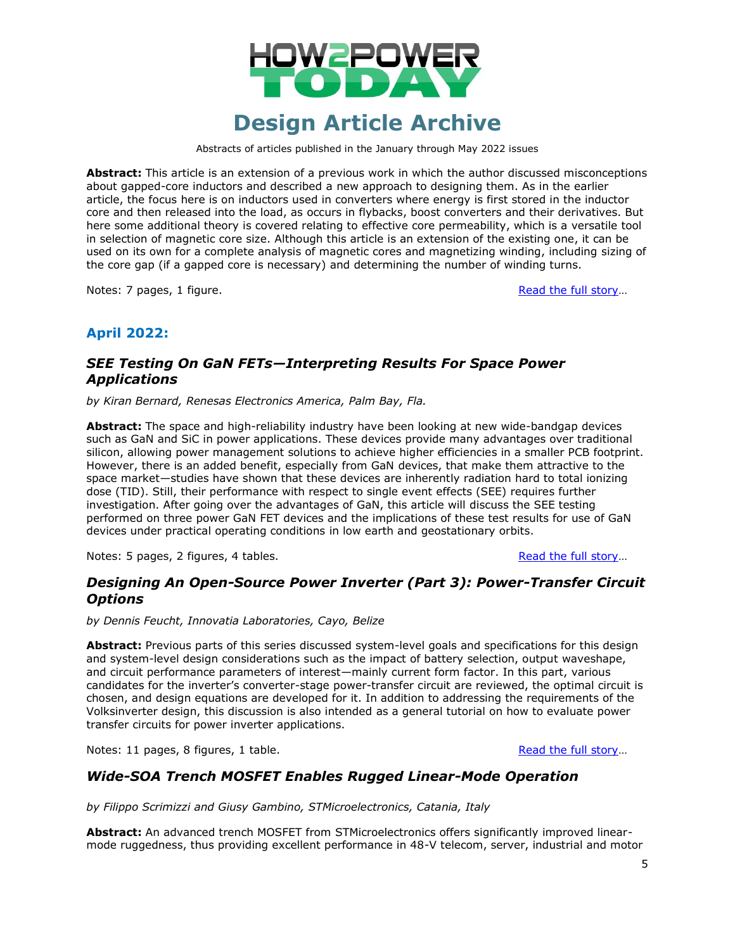

Abstracts of articles published in the January through May 2022 issues

**Abstract:** This article is an extension of a previous work in which the author discussed misconceptions about gapped-core inductors and described a new approach to designing them. As in the earlier article, the focus here is on inductors used in converters where energy is first stored in the inductor core and then released into the load, as occurs in flybacks, boost converters and their derivatives. But here some additional theory is covered relating to effective core permeability, which is a versatile tool in selection of magnetic core size. Although this article is an extension of the existing one, it can be used on its own for a complete analysis of magnetic cores and magnetizing winding, including sizing of the core gap (if a gapped core is necessary) and determining the number of winding turns.

Notes: 7 pages, 1 figure. [Read the full story](http://www.how2power.com/pdf_view.php?url=/newsletters/2203/H2PowerToday2203_FocusOnMagnetics.pdf)...

### **April 2022:**

## *SEE Testing On GaN FETs—Interpreting Results For Space Power Applications*

*by Kiran Bernard, Renesas Electronics America, Palm Bay, Fla.*

**Abstract:** The space and high-reliability industry have been looking at new wide-bandgap devices such as GaN and SiC in power applications. These devices provide many advantages over traditional silicon, allowing power management solutions to achieve higher efficiencies in a smaller PCB footprint. However, there is an added benefit, especially from GaN devices, that make them attractive to the space market—studies have shown that these devices are inherently radiation hard to total ionizing dose (TID). Still, their performance with respect to single event effects (SEE) requires further investigation. After going over the advantages of GaN, this article will discuss the SEE testing performed on three power GaN FET devices and the implications of these test results for use of GaN devices under practical operating conditions in low earth and geostationary orbits.

Notes: 5 pages, 2 figures, 4 tables. [Read the full story](http://www.how2power.com/pdf_view.php?url=/newsletters/2204/articles/H2PToday2204_design_Renesas.pdf)...

## *Designing An Open-Source Power Inverter (Part 3): Power-Transfer Circuit Options*

*by Dennis Feucht, Innovatia Laboratories, Cayo, Belize*

**Abstract:** Previous parts of this series discussed system-level goals and specifications for this design and system-level design considerations such as the impact of battery selection, output waveshape, and circuit performance parameters of interest—mainly current form factor. In this part, various candidates for the inverter's converter-stage power-transfer circuit are reviewed, the optimal circuit is chosen, and design equations are developed for it. In addition to addressing the requirements of the Volksinverter design, this discussion is also intended as a general tutorial on how to evaluate power transfer circuits for power inverter applications.

Notes: 11 pages, 8 figures, 1 table. [Read the full story](http://www.how2power.com/pdf_view.php?url=/newsletters/2204/articles/H2PToday2204_design_Innovatia_part%203.pdf)...

### *Wide-SOA Trench MOSFET Enables Rugged Linear-Mode Operation*

*by Filippo Scrimizzi and Giusy Gambino, STMicroelectronics, Catania, Italy*

**Abstract:** An advanced trench MOSFET from STMicroelectronics offers significantly improved linearmode ruggedness, thus providing excellent performance in 48-V telecom, server, industrial and motor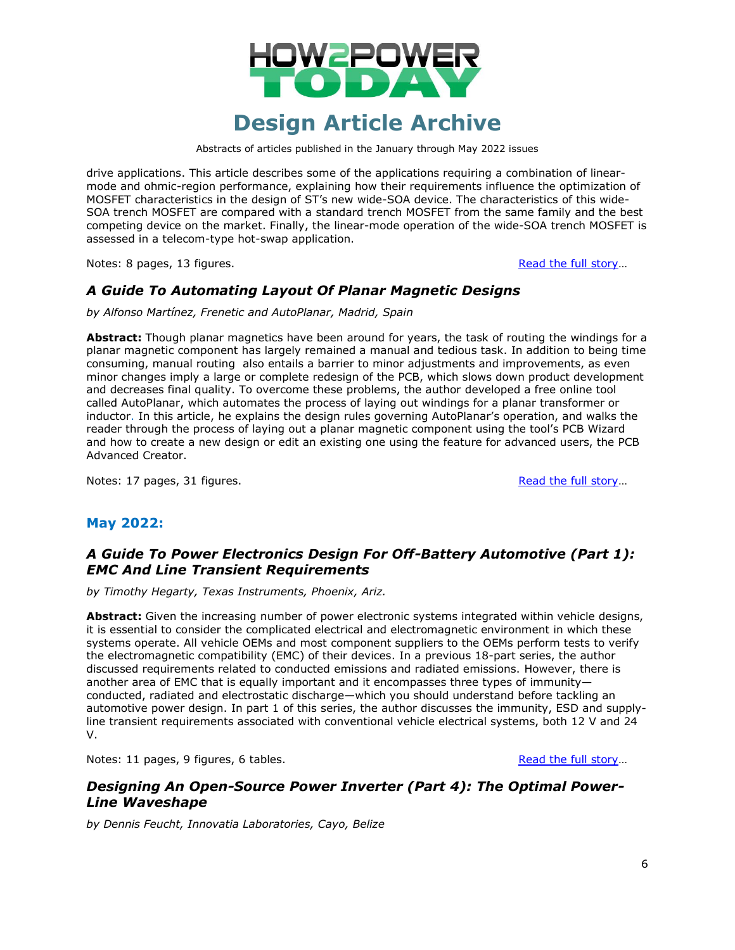

Abstracts of articles published in the January through May 2022 issues

drive applications. This article describes some of the applications requiring a combination of linearmode and ohmic-region performance, explaining how their requirements influence the optimization of MOSFET characteristics in the design of ST's new wide-SOA device. The characteristics of this wide-SOA trench MOSFET are compared with a standard trench MOSFET from the same family and the best competing device on the market. Finally, the linear-mode operation of the wide-SOA trench MOSFET is assessed in a telecom-type hot-swap application.

Notes: 8 pages, 13 figures. [Read the full story](http://www.how2power.com/pdf_view.php?url=/newsletters/2204/articles/H2PToday2204_design_STMicroelectronics.pdf)...

## *A Guide To Automating Layout Of Planar Magnetic Designs*

*by Alfonso Martínez, Frenetic and AutoPlanar, Madrid, Spain*

**Abstract:** Though planar magnetics have been around for years, the task of routing the windings for a planar magnetic component has largely remained a manual and tedious task. In addition to being time consuming, manual routing also entails a barrier to minor adjustments and improvements, as even minor changes imply a large or complete redesign of the PCB, which slows down product development and decreases final quality. To overcome these problems, the author developed a free online tool called AutoPlanar, which automates the process of laying out windings for a planar transformer or inductor. In this article, he explains the design rules governing AutoPlanar's operation, and walks the reader through the process of laying out a planar magnetic component using the tool's PCB Wizard and how to create a new design or edit an existing one using the feature for advanced users, the PCB Advanced Creator.

Notes: 17 pages, 31 figures. [Read the full story](http://www.how2power.com/pdf_view.php?url=/newsletters/2204/H2PowerToday2204_FocusOnMagnetics.pdf)...

### **May 2022:**

### *A Guide To Power Electronics Design For Off-Battery Automotive (Part 1): EMC And Line Transient Requirements*

*by Timothy Hegarty, Texas Instruments, Phoenix, Ariz.*

**Abstract:** Given the increasing number of power electronic systems integrated within vehicle designs, it is essential to consider the complicated electrical and electromagnetic environment in which these systems operate. All vehicle OEMs and most component suppliers to the OEMs perform tests to verify the electromagnetic compatibility (EMC) of their devices. In a previous 18-part series, the author discussed requirements related to conducted emissions and radiated emissions. However, there is another area of EMC that is equally important and it encompasses three types of immunity conducted, radiated and electrostatic discharge—which you should understand before tackling an automotive power design. In part 1 of this series, the author discusses the immunity, ESD and supplyline transient requirements associated with conventional vehicle electrical systems, both 12 V and 24 V.

Notes: 11 pages, 9 figures, 6 tables. [Read the full story](http://www.how2power.com/pdf_view.php?url=/newsletters/2205/articles/H2PToday2205_design_TexasInstruments_part1.pdf)...

## *Designing An Open-Source Power Inverter (Part 4): The Optimal Power-Line Waveshape*

*by Dennis Feucht, Innovatia Laboratories, Cayo, Belize*